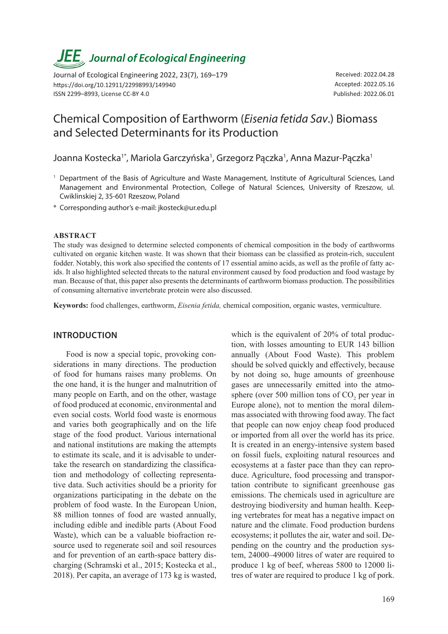# *JEE<sub>,</sub> Journal of Ecological Engineering*

Journal of Ecological Engineering 2022, 23(7), 169–179 https://doi.org/10.12911/22998993/149940 ISSN 2299–8993, License CC-BY 4.0

Received: 2022.04.28 Accepted: 2022.05.16 Published: 2022.06.01

# Chemical Composition of Earthworm (*Eisenia fetida Sav*.) Biomass and Selected Determinants for its Production

Joanna Kostecka<sup>1\*</sup>, Mariola Garczyńska<sup>1</sup>, Grzegorz Pączka<sup>1</sup>, Anna Mazur-Pączka<sup>1</sup>

- <sup>1</sup> Department of the Basis of Agriculture and Waste Management, Institute of Agricultural Sciences, Land Management and Environmental Protection, College of Natural Sciences, University of Rzeszow, ul. Cwiklinskiej 2, 35-601 Rzeszow, Poland
- \* Corresponding author's e-mail: jkosteck@ur.edu.pl

#### **ABSTRACT**

The study was designed to determine selected components of chemical composition in the body of earthworms cultivated on organic kitchen waste. It was shown that their biomass can be classified as protein-rich, succulent fodder. Notably, this work also specified the contents of 17 essential amino acids, as well as the profile of fatty acids. It also highlighted selected threats to the natural environment caused by food production and food wastage by man. Because of that, this paper also presents the determinants of earthworm biomass production. The possibilities of consuming alternative invertebrate protein were also discussed.

**Keywords:** food challenges, earthworm, *Eisenia fetida,* chemical composition, organic wastes, vermiculture.

# **INTRODUCTION**

Food is now a special topic, provoking considerations in many directions. The production of food for humans raises many problems. On the one hand, it is the hunger and malnutrition of many people on Earth, and on the other, wastage of food produced at economic, environmental and even social costs. World food waste is enormous and varies both geographically and on the life stage of the food product. Various international and national institutions are making the attempts to estimate its scale, and it is advisable to undertake the research on standardizing the classification and methodology of collecting representative data. Such activities should be a priority for organizations participating in the debate on the problem of food waste. In the European Union, 88 million tonnes of food are wasted annually, including edible and inedible parts (About Food Waste), which can be a valuable biofraction resource used to regenerate soil and soil resources and for prevention of an earth-space battery discharging (Schramski et al., 2015; Kostecka et al., 2018). Per capita, an average of 173 kg is wasted,

which is the equivalent of 20% of total production, with losses amounting to EUR 143 billion annually (About Food Waste). This problem should be solved quickly and effectively, because by not doing so, huge amounts of greenhouse gases are unnecessarily emitted into the atmosphere (over 500 million tons of  $CO_2$  per year in Europe alone), not to mention the moral dilemmas associated with throwing food away. The fact that people can now enjoy cheap food produced or imported from all over the world has its price. It is created in an energy-intensive system based on fossil fuels, exploiting natural resources and ecosystems at a faster pace than they can reproduce. Agriculture, food processing and transportation contribute to significant greenhouse gas emissions. The chemicals used in agriculture are destroying biodiversity and human health. Keeping vertebrates for meat has a negative impact on nature and the climate. Food production burdens ecosystems; it pollutes the air, water and soil. Depending on the country and the production system, 24000–49000 litres of water are required to produce 1 kg of beef, whereas 5800 to 12000 litres of water are required to produce 1 kg of pork.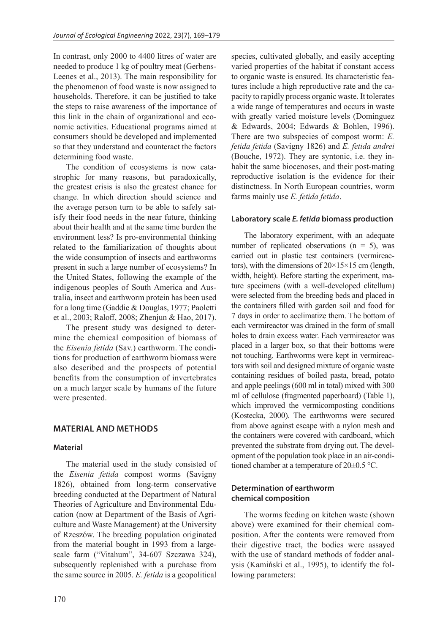In contrast, only 2000 to 4400 litres of water are needed to produce 1 kg of poultry meat (Gerbens-Leenes et al., 2013). The main responsibility for the phenomenon of food waste is now assigned to households. Therefore, it can be justified to take the steps to raise awareness of the importance of this link in the chain of organizational and economic activities. Educational programs aimed at consumers should be developed and implemented so that they understand and counteract the factors determining food waste.

The condition of ecosystems is now catastrophic for many reasons, but paradoxically, the greatest crisis is also the greatest chance for change. In which direction should science and the average person turn to be able to safely satisfy their food needs in the near future, thinking about their health and at the same time burden the environment less? Is pro-environmental thinking related to the familiarization of thoughts about the wide consumption of insects and earthworms present in such a large number of ecosystems? In the United States, following the example of the indigenous peoples of South America and Australia, insect and earthworm protein has been used for a long time (Gaddie & Douglas, 1977; Paoletti et al., 2003; Raloff, 2008; Zhenjun & Hao, 2017).

The present study was designed to determine the chemical composition of biomass of the *Eisenia fetida* (Sav.) earthworm. The conditions for production of earthworm biomass were also described and the prospects of potential benefits from the consumption of invertebrates on a much larger scale by humans of the future were presented.

# **MATERIAL AND METHODS**

#### **Material**

The material used in the study consisted of the *Eisenia fetida* compost worms (Savigny 1826), obtained from long-term conservative breeding conducted at the Department of Natural Theories of Agriculture and Environmental Education (now at Department of the Basis of Agriculture and Waste Management) at the University of Rzeszów. The breeding population originated from the material bought in 1993 from a largescale farm ("Vitahum", 34-607 Szczawa 324), subsequently replenished with a purchase from the same source in 2005. *E. fetida* is a geopolitical

species, cultivated globally, and easily accepting varied properties of the habitat if constant access to organic waste is ensured. Its characteristic features include a high reproductive rate and the capacity to rapidly process organic waste. It tolerates a wide range of temperatures and occurs in waste with greatly varied moisture levels (Dominguez & Edwards, 2004; Edwards & Bohlen, 1996). There are two subspecies of compost worm: *E. fetida fetida* (Savigny 1826) and *E. fetida andrei*  (Bouche, 1972). They are syntonic, i.e. they inhabit the same biocenoses, and their post-mating reproductive isolation is the evidence for their distinctness. In North European countries, worm farms mainly use *E. fetida fetida*.

#### **Laboratory scale** *E. fetida* **biomass production**

The laboratory experiment, with an adequate number of replicated observations  $(n = 5)$ , was carried out in plastic test containers (vermireactors), with the dimensions of  $20 \times 15 \times 15$  cm (length, width, height). Before starting the experiment, mature specimens (with a well-developed clitellum) were selected from the breeding beds and placed in the containers filled with garden soil and food for 7 days in order to acclimatize them. The bottom of each vermireactor was drained in the form of small holes to drain excess water. Each vermireactor was placed in a larger box, so that their bottoms were not touching. Earthworms were kept in vermireactors with soil and designed mixture of organic waste containing residues of boiled pasta, bread, potato and apple peelings (600 ml in total) mixed with 300 ml of cellulose (fragmented paperboard) (Table 1), which improved the vermicomposting conditions (Kostecka, 2000). The earthworms were secured from above against escape with a nylon mesh and the containers were covered with cardboard, which prevented the substrate from drying out. The development of the population took place in an air-conditioned chamber at a temperature of 20±0.5 °C.

#### **Determination of earthworm chemical composition**

The worms feeding on kitchen waste (shown above) were examined for their chemical composition. After the contents were removed from their digestive tract, the bodies were assayed with the use of standard methods of fodder analysis (Kamiński et al., 1995), to identify the following parameters: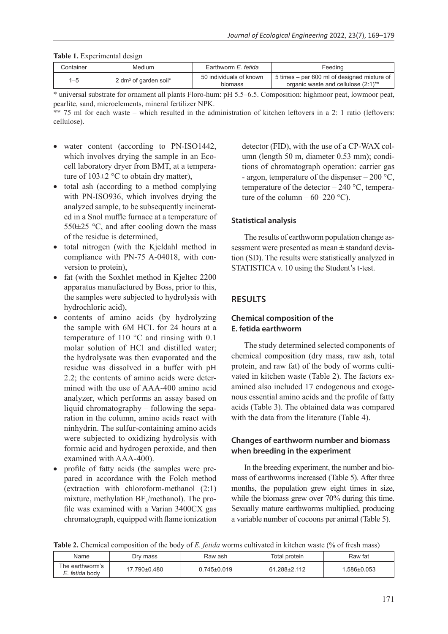|  |  | Table 1. Experimental design |  |
|--|--|------------------------------|--|
|--|--|------------------------------|--|

| ∴ontainer | Medium                            | Earthworm <i>E. fetida</i>         | Feeding                                                                            |
|-----------|-----------------------------------|------------------------------------|------------------------------------------------------------------------------------|
| $1 - 5$   | 2 dm <sup>3</sup> of garden soil* | 50 individuals of known<br>biomass | 5 times – per 600 ml of designed mixture of<br>organic waste and cellulose (2:1)** |

\* universal substrate for ornament all plants Floro-hum: pH 5.5–6.5. Composition: highmoor peat, lowmoor peat, pearlite, sand, microelements, mineral fertilizer NPK.

\*\* 75 ml for each waste – which resulted in the administration of kitchen leftovers in a 2: 1 ratio (leftovers: cellulose).

- water content (according to PN-ISO1442, which involves drying the sample in an Ecocell laboratory dryer from BMT, at a temperature of  $103\pm2$  °C to obtain dry matter),
- total ash (according to a method complying with PN-ISO936, which involves drying the analyzed sample, to be subsequently incinerated in a Snol muffle furnace at a temperature of  $550\pm25$  °C, and after cooling down the mass of the residue is determined,
- total nitrogen (with the Kjeldahl method in compliance with PN-75 A-04018, with conversion to protein),
- fat (with the Soxhlet method in Kjeltec 2200) apparatus manufactured by Boss, prior to this, the samples were subjected to hydrolysis with hydrochloric acid),
- contents of amino acids (by hydrolyzing the sample with 6M HCL for 24 hours at a temperature of 110 °C and rinsing with 0.1 molar solution of HCl and distilled water; the hydrolysate was then evaporated and the residue was dissolved in a buffer with pH 2.2; the contents of amino acids were determined with the use of AAA-400 amino acid analyzer, which performs an assay based on liquid chromatography – following the separation in the column, amino acids react with ninhydrin. The sulfur-containing amino acids were subjected to oxidizing hydrolysis with formic acid and hydrogen peroxide, and then examined with AAA-400).
- profile of fatty acids (the samples were prepared in accordance with the Folch method (extraction with chloroform-methanol (2:1) mixture, methylation  $BF_{3}$ /methanol). The profile was examined with a Varian 3400CX gas chromatograph, equipped with flame ionization

detector (FID), with the use of a CP-WAX column (length 50 m, diameter 0.53 mm); conditions of chromatograph operation: carrier gas - argon, temperature of the dispenser – 200 °C, temperature of the detector  $-240$  °C, temperature of the column –  $60-220$  °C).

#### **Statistical analysis**

The results of earthworm population change assessment were presented as mean ± standard deviation (SD). The results were statistically analyzed in STATISTICA v. 10 using the Student's t-test.

# **RESULTS**

## **Chemical composition of the E. fetida earthworm**

The study determined selected components of chemical composition (dry mass, raw ash, total protein, and raw fat) of the body of worms cultivated in kitchen waste (Table 2). The factors examined also included 17 endogenous and exogenous essential amino acids and the profile of fatty acids (Table 3). The obtained data was compared with the data from the literature (Table 4).

# **Changes of earthworm number and biomass when breeding in the experiment**

In the breeding experiment, the number and biomass of earthworms increased (Table 5). After three months, the population grew eight times in size, while the biomass grew over 70% during this time. Sexually mature earthworms multiplied, producing a variable number of cocoons per animal (Table 5).

**Table 2.** Chemical composition of the body of *E. fetida* worms cultivated in kitchen waste (% of fresh mass)

| Name                              | Dry mass     | Raw ash           | Total protein | Raw fat     |
|-----------------------------------|--------------|-------------------|---------------|-------------|
| The earthworm's<br>E. fetida bodv | 17.790±0.480 | $0.745 \pm 0.019$ | 61.288±2.112  | 1.586±0.053 |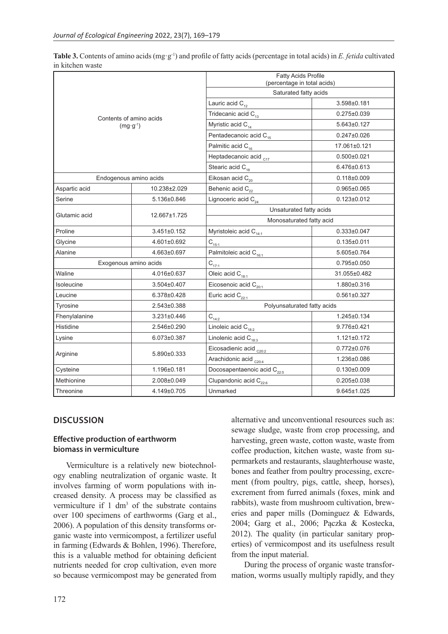**Table 3.** Contents of amino acids (mg·g-1) and profile of fatty acids (percentage in total acids) in *E. fetida* cultivated in kitchen waste

|                         |                   | <b>Fatty Acids Profile</b><br>(percentage in total acids) |                   |  |
|-------------------------|-------------------|-----------------------------------------------------------|-------------------|--|
|                         |                   | Saturated fatty acids                                     |                   |  |
|                         |                   | Lauric acid $C_{12}$                                      | 3.598±0.181       |  |
| Contents of amino acids |                   | Tridecanic acid $C_{13}$                                  | $0.275 \pm 0.039$ |  |
| $(mq \cdot q^{-1})$     |                   | Myristic acid $C_{14}$                                    | 5.643±0.127       |  |
|                         |                   | Pentadecanoic acid C <sub>15</sub>                        | $0.247 \pm 0.026$ |  |
|                         |                   | Palmitic acid C <sub>16</sub>                             | 17.061±0.121      |  |
|                         |                   | Heptadecanoic acid <sub>C17</sub>                         | $0.500 + 0.021$   |  |
|                         |                   | Stearic acid $C_{18}$                                     | 6.476±0.613       |  |
| Endogenous amino acids  |                   | Eikosan acid C <sub>20</sub>                              | $0.118 + 0.009$   |  |
| Aspartic acid           | 10.238±2.029      | Behenic acid $C_{22}$                                     | $0.965 \pm 0.065$ |  |
| Serine                  | 5.136±0.846       | Lignoceric acid C <sub>24</sub>                           | $0.123 \pm 0.012$ |  |
|                         |                   | Unsaturated fatty acids                                   |                   |  |
| Glutamic acid           | 12.667±1.725      | Monosaturated fatty acid                                  |                   |  |
| Proline                 | 3.451±0.152       | Myristoleic acid C <sub>14:1</sub>                        | $0.333\pm0.047$   |  |
| Glycine                 | 4.601±0.692       | $C_{15:1}$                                                | $0.135 \pm 0.011$ |  |
| Alanine                 | 4.663±0.697       | Palmitoleic acid C <sub>16:1</sub>                        | 5.605±0.764       |  |
| Exogenous amino acids   |                   | $C_{121}$                                                 | $0.795 \pm 0.050$ |  |
| Waline                  | 4.016±0.637       | Oleic acid C <sub>18:1</sub>                              | 31.055±0.482      |  |
| Isoleucine              | 3.504±0.407       | Eicosenoic acid $C_{_{20:1}}$                             | 1.880±0.316       |  |
| Leucine                 | 6.378±0.428       | Euric acid $C_{22:1}$                                     | $0.561 \pm 0.327$ |  |
| Tyrosine                | 2.543±0.388       | Polyunsaturated fatty acids                               |                   |  |
| Fhenylalanine           | $3.231 \pm 0.446$ | $C_{14:2}$                                                | 1.245±0.134       |  |
| Histidine               | 2.546±0.290       | Linoleic acid $C_{18:2}$                                  | 9.776±0.421       |  |
| Lysine                  | 6.073±0.387       | Linolenic acid $C_{18:3}$                                 | $1.121 \pm 0.172$ |  |
|                         | 5.890±0.333       | Eicosadienic acid <sub>c20:2</sub>                        | $0.772 \pm 0.076$ |  |
| Arginine                |                   | Arachidonic acid <sub>C20:4</sub>                         | 1.236±0.086       |  |
| Cysteine                | 1.196±0.181       | Docosapentaenoic acid C <sub>22:5</sub>                   | $0.130 \pm 0.009$ |  |
| Methionine              | 2.008±0.049       | Clupandonic acid C <sub>226</sub>                         | $0.205 \pm 0.038$ |  |
| Threonine               | 4.149±0.705       | Unmarked                                                  | $9.645 \pm 1.025$ |  |

#### **DISCUSSION**

#### **Effective production of earthworm biomass in vermiculture**

Vermiculture is a relatively new biotechnology enabling neutralization of organic waste. It involves farming of worm populations with increased density. A process may be classified as vermiculture if  $1 \text{ dm}^3$  of the substrate contains over 100 specimens of earthworms (Garg et al., 2006). A population of this density transforms organic waste into vermicompost, a fertilizer useful in farming (Edwards & Bohlen, 1996). Therefore, this is a valuable method for obtaining deficient nutrients needed for crop cultivation, even more so because vermicompost may be generated from

alternative and unconventional resources such as: sewage sludge, waste from crop processing, and harvesting, green waste, cotton waste, waste from coffee production, kitchen waste, waste from supermarkets and restaurants, slaughterhouse waste, bones and feather from poultry processing, excrement (from poultry, pigs, cattle, sheep, horses), excrement from furred animals (foxes, mink and rabbits), waste from mushroom cultivation, breweries and paper mills (Dominguez & Edwards, 2004; Garg et al., 2006; Pączka & Kostecka, 2012). The quality (in particular sanitary properties) of vermicompost and its usefulness result from the input material.

During the process of organic waste transformation, worms usually multiply rapidly, and they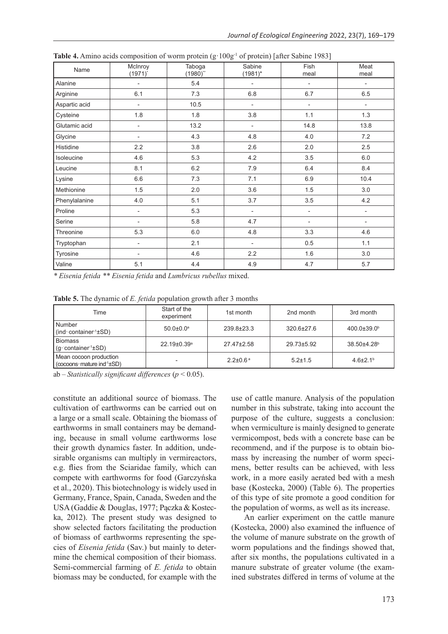| Name          | McInroy<br>$(1971)^{*}$  | Taboga<br>$(1980)$ " | Sabine<br>$(1981)^*$     | Fish<br>meal             | Meat<br>meal             |
|---------------|--------------------------|----------------------|--------------------------|--------------------------|--------------------------|
| Alanine       | $\overline{\phantom{a}}$ | 5.4                  | $\overline{\phantom{a}}$ | $\overline{\phantom{a}}$ | $\overline{\phantom{a}}$ |
| Arginine      | 6.1                      | 7.3                  | 6.8                      | 6.7                      | 6.5                      |
| Aspartic acid | $\overline{\phantom{a}}$ | 10.5                 | -                        | $\overline{\phantom{m}}$ | $\overline{\phantom{a}}$ |
| Cysteine      | 1.8                      | 1.8                  | 3.8                      | 1.1                      | 1.3                      |
| Glutamic acid | $\overline{\phantom{a}}$ | 13.2                 | $\overline{\phantom{a}}$ | 14.8                     | 13.8                     |
| Glycine       | $\overline{\phantom{a}}$ | 4.3                  | 4.8                      | 4.0                      | 7.2                      |
| Histidine     | 2.2                      | 3.8                  | 2.6                      | 2.0                      | 2.5                      |
| Isoleucine    | 4.6                      | 5.3                  | 4.2                      | 3.5                      | 6.0                      |
| Leucine       | 8.1                      | 6.2                  | 7.9                      | 6.4                      | 8.4                      |
| Lysine        | 6.6                      | 7.3                  | 7.1                      | 6.9                      | 10.4                     |
| Methionine    | 1.5                      | 2.0                  | 3.6                      | 1.5                      | 3.0                      |
| Phenylalanine | 4.0                      | 5.1                  | 3.7                      | 3.5                      | 4.2                      |
| Proline       | $\overline{\phantom{m}}$ | 5.3                  | $\overline{\phantom{a}}$ | $\overline{\phantom{m}}$ | $\overline{\phantom{a}}$ |
| Serine        | $\overline{\phantom{0}}$ | 5.8                  | 4.7                      | $\overline{\phantom{a}}$ | $\overline{\phantom{a}}$ |
| Threonine     | 5.3                      | 6.0                  | 4.8                      | 3.3                      | 4.6                      |
| Tryptophan    | $\overline{\phantom{a}}$ | 2.1                  | $\overline{\phantom{a}}$ | 0.5                      | 1.1                      |
| Tyrosine      | $\overline{\phantom{a}}$ | 4.6                  | 2.2                      | 1.6                      | 3.0                      |
| Valine        | 5.1                      | 4.4                  | 4.9                      | 4.7                      | 5.7                      |

**Table 4.** Amino acids composition of worm protein (g: 100g<sup>-1</sup> of protein) [after Sabine 1983]

*\* Eisenia fetida \*\* Eisenia fetida* and *Lumbricus rubellus* mixed.

**Table 5.** The dynamic of *E. fetida* population growth after 3 months

| Time                                                             | Start of the<br>experiment    | 1st month                  | 2nd month        | 3rd month                |
|------------------------------------------------------------------|-------------------------------|----------------------------|------------------|--------------------------|
| <b>Number</b><br>$\int (ind \cdot \text{container}^1 \pm SD)$    | $50.0 \pm 0.0$ <sup>a</sup>   | $239.8 \pm 23.3$           | $320.6 \pm 27.6$ | $400.0 \pm 39.0^{\circ}$ |
| <b>Biomass</b><br>$(g \cdot \text{container}^1 \pm SD)$          | $22.19 \pm 0.39$ <sup>a</sup> | 27.47 <sup>+</sup> 2.58    | 29.73±5.92       | 38.50±4.28 <sup>b</sup>  |
| Mean cocoon production<br>$\cos$ (cocoons mature ind $(1\pm$ SD) |                               | $2.2 \pm 0.6$ <sup>a</sup> | $5.2 \pm 1.5$    | $4.6{\pm}2.1^{b}$        |

ab – *Statistically significant differences* (*p* < 0.05).

constitute an additional source of biomass. The cultivation of earthworms can be carried out on a large or a small scale. Obtaining the biomass of earthworms in small containers may be demanding, because in small volume earthworms lose their growth dynamics faster. In addition, undesirable organisms can multiply in vermireactors, e.g. flies from the Sciaridae family, which can compete with earthworms for food (Garczyńska et al., 2020). This biotechnology is widely used in Germany, France, Spain, Canada, Sweden and the USA (Gaddie & Douglas, 1977; Pączka & Kostecka, 2012). The present study was designed to show selected factors facilitating the production of biomass of earthworms representing the species of *Eisenia fetida* (Sav.) but mainly to determine the chemical composition of their biomass. Semi-commercial farming of *E. fetida* to obtain biomass may be conducted, for example with the

use of cattle manure. Analysis of the population number in this substrate, taking into account the purpose of the culture, suggests a conclusion: when vermiculture is mainly designed to generate vermicompost, beds with a concrete base can be recommend, and if the purpose is to obtain biomass by increasing the number of worm specimens, better results can be achieved, with less work, in a more easily aerated bed with a mesh base (Kostecka, 2000) (Table 6). The properties of this type of site promote a good condition for the population of worms, as well as its increase.

An earlier experiment on the cattle manure (Kostecka, 2000) also examined the influence of the volume of manure substrate on the growth of worm populations and the findings showed that, after six months, the populations cultivated in a manure substrate of greater volume (the examined substrates differed in terms of volume at the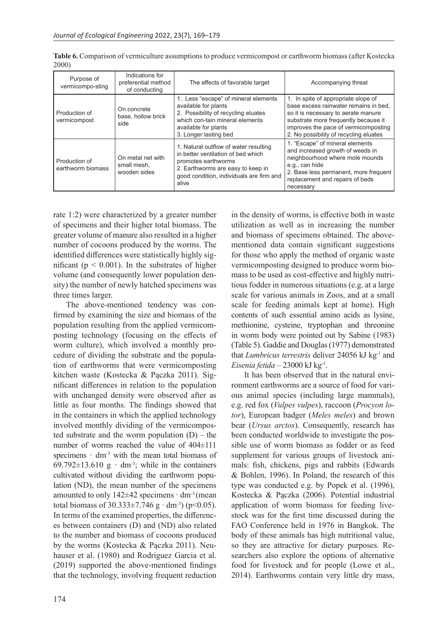| Purpose of<br>vermicompo-sting     | Indications for<br>preferential method<br>of conducting | The effects of favorable target                                                                                                                                                              | Accompanying threat                                                                                                                                                                                                                           |
|------------------------------------|---------------------------------------------------------|----------------------------------------------------------------------------------------------------------------------------------------------------------------------------------------------|-----------------------------------------------------------------------------------------------------------------------------------------------------------------------------------------------------------------------------------------------|
| Production of<br>vermicompost      | On concrete<br>base, hollow brick<br>side               | 1. Less "escape" of mineral elements<br>available for plants<br>2. Possibility of recycling eluates<br>which con-tain mineral elements<br>available for plants<br>3. Longer lasting bed      | 1. In spite of appropriate slope of<br>base excess rainwater remains in bed.<br>so it is necessary to aerate manure<br>substrate more frequently because it<br>improves the pace of vermicomposting<br>2. No possibility of recycling eluates |
| Production of<br>earthworm biomass | On metal net with<br>small mesh,<br>wooden sides        | 1. Natural outflow of water resulting<br>in better ventilation of bed which<br>promotes earthworms<br>2. Earthworms are easy to keep in<br>good condition, individuals are firm and<br>alive | 1. "Escape" of mineral elements<br>and increased growth of weeds in<br>neighbourhood where mole mounds<br>e.g., can hide<br>2. Base less permanent, more frequent<br>replacement and repairs of beds<br>necessary                             |

**Table 6.** Comparison of vermiculture assumptions to produce vermicompost or earthworm biomass (after Kostecka 2000)

rate 1:2) were characterized by a greater number of specimens and their higher total biomass. The greater volume of manure also resulted in a higher number of cocoons produced by the worms. The identified differences were statistically highly significant ( $p < 0.001$ ). In the substrates of higher volume (and consequently lower population density) the number of newly hatched specimens was three times larger.

The above-mentioned tendency was confirmed by examining the size and biomass of the population resulting from the applied vermicomposting technology (focusing on the effects of worm culture), which involved a monthly procedure of dividing the substrate and the population of earthworms that were vermicomposting kitchen waste (Kostecka & Pączka 2011). Significant differences in relation to the population with unchanged density were observed after as little as four months. The findings showed that in the containers in which the applied technology involved monthly dividing of the vermicomposted substrate and the worm population  $(D)$  – the number of worms reached the value of 404±111 specimens  $\cdot$  dm<sup>-3</sup> with the mean total biomass of 69.792 $\pm$ 13.610 g · dm<sup>-3</sup>; while in the containers cultivated without dividing the earthworm population (ND), the mean number of the specimens amounted to only  $142\pm42$  specimens  $\cdot$  dm<sup>-3</sup> (mean total biomass of  $30.333 \pm 7.746$  g · dm<sup>-3</sup>) (p<0.05). In terms of the examined properties, the differences between containers (D) and (ND) also related to the number and biomass of cocoons produced by the worms (Kostecka & Pączka 2011). Neuhauser et al. (1980) and Rodriguez Garcia et al. (2019) supported the above-mentioned findings that the technology, involving frequent reduction

in the density of worms, is effective both in waste utilization as well as in increasing the number and biomass of specimens obtained. The abovementioned data contain significant suggestions for those who apply the method of organic waste vermicomposting designed to produce worm biomass to be used as cost-effective and highly nutritious fodder in numerous situations (e.g. at a large scale for various animals in Zoos, and at a small scale for feeding animals kept at home). High contents of such essential amino acids as lysine, methionine, cysteine, tryptophan and threonine in worm body were pointed out by Sabine (1983) (Table 5). Gaddie and Douglas (1977) demonstrated that *Lumbricus terrestris* deliver 24056 kJ kg-1 and *Eisenia fetida* – 23000 kJ kg<sup>-1</sup>.

It has been observed that in the natural environment earthworms are a source of food for various animal species (including large mammals), e.g. red fox (*Vulpes vulpes*), raccoon (*Procyon lotor*), European badger (*Meles meles*) and brown bear (*Ursus arctos*). Consequently, research has been conducted worldwide to investigate the possible use of worm biomass as fodder or as feed supplement for various groups of livestock animals: fish, chickens, pigs and rabbits (Edwards & Bohlen, 1996). In Poland, the research of this type was conducted e.g. by Popek et al. (1996), Kostecka & Pączka (2006). Potential industrial application of worm biomass for feeding livestock was for the first time discussed during the FAO Conference held in 1976 in Bangkok. The body of these animals has high nutritional value, so they are attractive for dietary purposes. Researchers also explore the options of alternative food for livestock and for people (Lowe et al., 2014). Earthworms contain very little dry mass,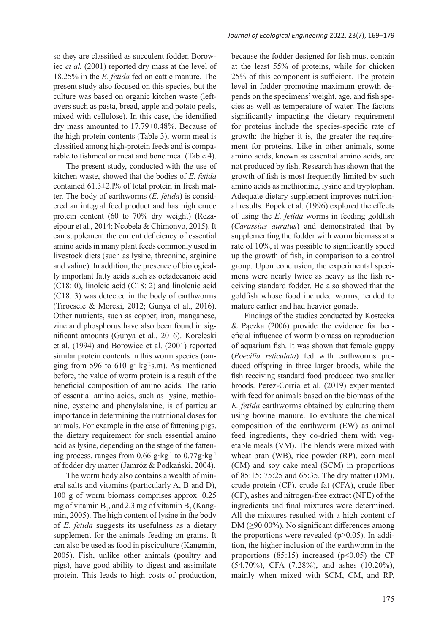so they are classified as succulent fodder. Borowiec *et al.* (2001) reported dry mass at the level of 18.25% in the *E. fetida* fed on cattle manure. The present study also focused on this species, but the culture was based on organic kitchen waste (leftovers such as pasta, bread, apple and potato peels, mixed with cellulose). In this case, the identified dry mass amounted to 17.79±0.48%. Because of the high protein contents (Table 3), worm meal is classified among high-protein feeds and is comparable to fishmeal or meat and bone meal (Table 4).

The present study, conducted with the use of kitchen waste, showed that the bodies of *E. fetida* contained 61.3±2.l% of total protein in fresh matter. The body of earthworms (*E. fetida*) is considered an integral feed product and has high crude protein content (60 to 70% dry weight) (Rezaeipour et al.*,* 2014; Ncobela & Chimonyo, 2015). It can supplement the current deficiency of essential amino acids in many plant feeds commonly used in livestock diets (such as lysine, threonine, arginine and valine). In addition, the presence of biologically important fatty acids such as octadecanoic acid (C18: 0), linoleic acid (C18: 2) and linolenic acid (C18: 3) was detected in the body of earthworms (Tiroesele & Moreki, 2012; Gunya et al., 2016). Other nutrients, such as copper, iron, manganese, zinc and phosphorus have also been found in significant amounts (Gunya et al., 2016). Koreleski et al. (1994) and Borowiec et al. (2001) reported similar protein contents in this worm species (ranging from 596 to  $610 \text{ g}$  kg<sup>-1</sup>s.m). As mentioned before, the value of worm protein is a result of the beneficial composition of amino acids. The ratio of essential amino acids, such as lysine, methionine, cysteine and phenylalanine, is of particular importance in determining the nutritional doses for animals. For example in the case of fattening pigs, the dietary requirement for such essential amino acid as lysine, depending on the stage of the fattening process, ranges from  $0.66$  g·kg<sup>-1</sup> to  $0.77$ g·kg<sup>-1</sup> of fodder dry matter (Jamróz & Podkański, 2004).

The worm body also contains a wealth of mineral salts and vitamins (particularly A, B and D), 100 g of worm biomass comprises approx. 0.25 mg of vitamin  $B_1$ , and 2.3 mg of vitamin  $B_2^{\text{}}$  (Kangmin, 2005). The high content of lysine in the body of *E. fetida* suggests its usefulness as a dietary supplement for the animals feeding on grains. It can also be used as food in pisciculture (Kangmin, 2005). Fish, unlike other animals (poultry and pigs), have good ability to digest and assimilate protein. This leads to high costs of production,

because the fodder designed for fish must contain at the least 55% of proteins, while for chicken 25% of this component is sufficient. The protein level in fodder promoting maximum growth depends on the specimens' weight, age, and fish species as well as temperature of water. The factors significantly impacting the dietary requirement for proteins include the species-specific rate of growth: the higher it is, the greater the requirement for proteins. Like in other animals, some amino acids, known as essential amino acids, are not produced by fish. Research has shown that the growth of fish is most frequently limited by such amino acids as methionine, lysine and tryptophan. Adequate dietary supplement improves nutritional results. Popek et al. (1996) explored the effects of using the *E. fetida* worms in feeding goldfish (*Carassius auratus*) and demonstrated that by supplementing the fodder with worm biomass at a rate of 10%, it was possible to significantly speed up the growth of fish, in comparison to a control group. Upon conclusion, the experimental specimens were nearly twice as heavy as the fish receiving standard fodder. He also showed that the goldfish whose food included worms, tended to mature earlier and had heavier gonads.

Findings of the studies conducted by Kostecka & Pączka (2006) provide the evidence for beneficial influence of worm biomass on reproduction of aquarium fish. It was shown that female guppy (*Poecilia reticulata*) fed with earthworms produced offspring in three larger broods, while the fish receiving standard food produced two smaller broods. Perez-Corria et al. (2019) experimented with feed for animals based on the biomass of the *E. fetida* earthworms obtained by culturing them using bovine manure. To evaluate the chemical composition of the earthworm (EW) as animal feed ingredients, they co-dried them with vegetable meals (VM). The blends were mixed with wheat bran (WB), rice powder (RP), corn meal (CM) and soy cake meal (SCM) in proportions of 85:15; 75:25 and 65:35. The dry matter (DM), crude protein (CP), crude fat (CFA), crude fiber (CF), ashes and nitrogen-free extract (NFE) of the ingredients and final mixtures were determined. All the mixtures resulted with a high content of DM ( $\geq$ 90.00%). No significant differences among the proportions were revealed  $(p>0.05)$ . In addition, the higher inclusion of the earthworm in the proportions (85:15) increased ( $p<0.05$ ) the CP (54.70%), CFA (7.28%), and ashes (10.20%), mainly when mixed with SCM, CM, and RP,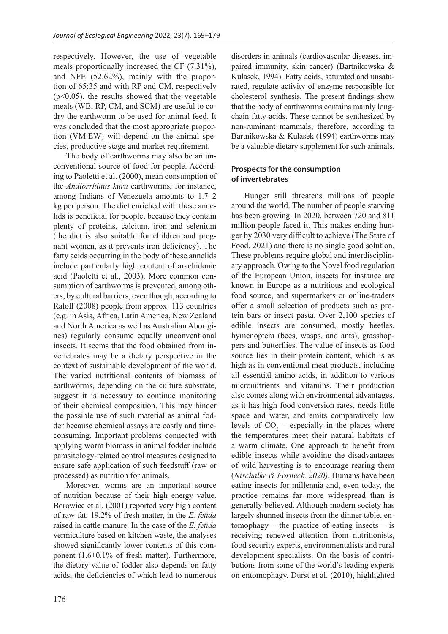respectively. However, the use of vegetable meals proportionally increased the CF (7.31%), and NFE (52.62%), mainly with the proportion of 65:35 and with RP and CM, respectively  $(p<0.05)$ , the results showed that the vegetable meals (WB, RP, CM, and SCM) are useful to codry the earthworm to be used for animal feed. It was concluded that the most appropriate proportion (VM:EW) will depend on the animal species, productive stage and market requirement.

The body of earthworms may also be an unconventional source of food for people. According to Paoletti et al. (2000), mean consumption of the *Andiorrhinus kuru* earthworms*,* for instance, among Indians of Venezuela amounts to 1.7–2 kg per person. The diet enriched with these annelids is beneficial for people, because they contain plenty of proteins, calcium, iron and selenium (the diet is also suitable for children and pregnant women, as it prevents iron deficiency). The fatty acids occurring in the body of these annelids include particularly high content of arachidonic acid (Paoletti et al., 2003). More common consumption of earthworms is prevented, among others, by cultural barriers, even though, according to Raloff (2008) people from approx. 113 countries (e.g. in Asia, Africa, Latin America, New Zealand and North America as well as Australian Aborigines) regularly consume equally unconventional insects. It seems that the food obtained from invertebrates may be a dietary perspective in the context of sustainable development of the world. The varied nutritional contents of biomass of earthworms, depending on the culture substrate, suggest it is necessary to continue monitoring of their chemical composition. This may hinder the possible use of such material as animal fodder because chemical assays are costly and timeconsuming. Important problems connected with applying worm biomass in animal fodder include parasitology-related control measures designed to ensure safe application of such feedstuff (raw or processed) as nutrition for animals.

Moreover, worms are an important source of nutrition because of their high energy value. Borowiec et al. (2001) reported very high content of raw fat, 19.2% of fresh matter, in the *E. fetida* raised in cattle manure. In the case of the *E. fetida* vermiculture based on kitchen waste, the analyses showed significantly lower contents of this component (1.6±0.1% of fresh matter). Furthermore, the dietary value of fodder also depends on fatty acids, the deficiencies of which lead to numerous disorders in animals (cardiovascular diseases, impaired immunity, skin cancer) (Bartnikowska & Kulasek, 1994). Fatty acids, saturated and unsaturated, regulate activity of enzyme responsible for cholesterol synthesis. The present findings show that the body of earthworms contains mainly longchain fatty acids. These cannot be synthesized by non-ruminant mammals; therefore, according to Bartnikowska & Kulasek (1994) earthworms may be a valuable dietary supplement for such animals.

## **Prospects for the consumption of invertebrates**

Hunger still threatens millions of people around the world. The number of people starving has been growing. In 2020, between 720 and 811 million people faced it. This makes ending hunger by 2030 very difficult to achieve (The State of Food, 2021) and there is no single good solution. These problems require global and interdisciplinary approach. Owing to the Novel food regulation of the European Union, insects for instance are known in Europe as a nutritious and ecological food source, and supermarkets or online-traders offer a small selection of products such as protein bars or insect pasta. Over 2,100 species of edible insects are consumed, mostly beetles, hymenoptera (bees, wasps, and ants), grasshoppers and butterflies. The value of insects as food source lies in their protein content, which is as high as in conventional meat products, including all essential amino acids, in addition to various micronutrients and vitamins. Their production also comes along with environmental advantages, as it has high food conversion rates, needs little space and water, and emits comparatively low levels of  $CO_2$  – especially in the places where the temperatures meet their natural habitats of a warm climate. One approach to benefit from edible insects while avoiding the disadvantages of wild harvesting is to encourage rearing them (*Nischalke & Forneck, 2020).* Humans have been eating insects for millennia and, even today, the practice remains far more widespread than is generally believed. Although modern society has largely shunned insects from the dinner table, entomophagy – the practice of eating insects – is receiving renewed attention from nutritionists, food security experts, environmentalists and rural development specialists. On the basis of contributions from some of the world's leading experts on entomophagy, Durst et al. (2010), highlighted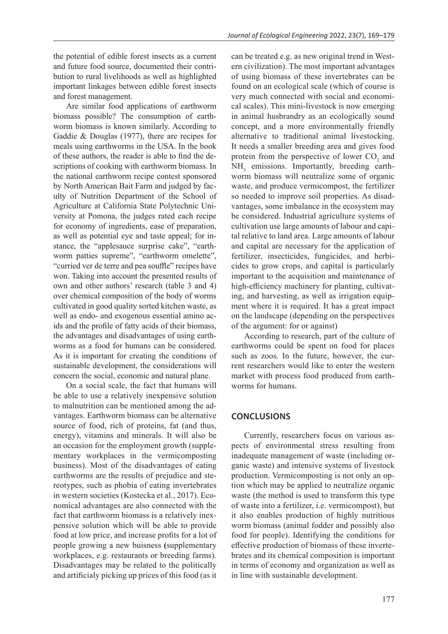the potential of edible forest insects as a current and future food source, documented their contribution to rural livelihoods as well as highlighted important linkages between edible forest insects and forest management.

Are similar food applications of earthworm biomass possible? The consumption of earthworm biomass is known similarly. According to Gaddie & Douglas (1977), there are recipes for meals using earthworms in the USA. In the book of these authors, the reader is able to find the descriptions of cooking with earthworm biomass. In the national earthworm recipe contest sponsored by North American Bait Farm and judged by faculty of Nutrition Department of the School of Agriculture at California State Polytechnic University at Pomona, the judges rated each recipe for economy of ingredients, ease of preparation, as well as potential eye and taste appeal; for instance, the "applesauce surprise cake", "earthworm patties supreme", "earthworm omelette", "curried ver de terre and pea souffle" recipes have won. Taking into account the presented results of own and other authors' research (table 3 and 4) over chemical composition of the body of worms cultivated in good quality sorted kitchen waste, as well as endo- and exogenous essential amino acids and the profile of fatty acids of their biomass, the advantages and disadvantages of using earthworms as a food for humans can be considered. As it is important for creating the conditions of sustainable development, the considerations will concern the social, economic and natural plane.

On a social scale, the fact that humans will be able to use a relatively inexpensive solution to malnutrition can be mentioned among the advantages. Earthworm biomass can be alternative source of food, rich of proteins, fat (and thus, energy), vitamins and minerals. It will also be an occasion for the employment growth (supplementary workplaces in the vermicomposting business). Most of the disadvantages of eating earthworms are the results of prejudice and stereotypes, such as phobia of eating invertebrates in western societies (Kostecka et al., 2017). Economical advantages are also connected with the fact that earthworm biomass is a relatively inexpensive solution which will be able to provide food at low price, and increase profits for a lot of people growing a new buisness **(**supplementary workplaces, e.g. restaurants or breeding farms). Disadvantages may be related to the politically and artificialy picking up prices of this food (as it

can be treated e.g. as new original trend in Western civilization). The most important advantages of using biomass of these invertebrates can be found on an ecological scale (which of course is very much connected with social and economical scales). This mini-livestock is now emerging in animal husbrandry as an ecologically sound concept, and a more environmentally friendly alternative to traditional animal livestocking. It needs a smaller breeding area and gives food protein from the perspective of lower  $CO_2$  and NH<sub>3</sub> emissions. Importantly, breeding earthworm biomass will neutralize some of organic waste, and produce vermicompost, the fertilizer so needed to improve soil properties. As disadvantages, some imbalance in the ecosystem may be considered. Industrial agriculture systems of cultivation use large amounts of labour and capital relative to land area. Large amounts of labour and capital are necessary for the application of fertilizer, insecticides, fungicides, and herbicides to grow crops, and capital is particularly important to the acquisition and maintenance of high-efficiency machinery for planting, cultivating, and harvesting, as well as irrigation equipment where it is required. It has a great impact on the landscape (depending on the perspectives of the argument: for or against)

According to research, part of the culture of earthworms could be spent on food for places such as zoos. In the future, however, the current researchers would like to enter the western market with process food produced from earthworms for humans.

#### **CONCLUSIONS**

Currently, researchers focus on various aspects of environmental stress resulting from inadequate management of waste (including organic waste) and intensive systems of livestock production. Vermicomposting is not only an option which may be applied to neutralize organic waste (the method is used to transform this type of waste into a fertilizer, i.e. vermicompost), but it also enables production of highly nutritious worm biomass (animal fodder and possibly also food for people). Identifying the conditions for effective production of biomass of these invertebrates and its chemical composition is important in terms of economy and organization as well as in line with sustainable development.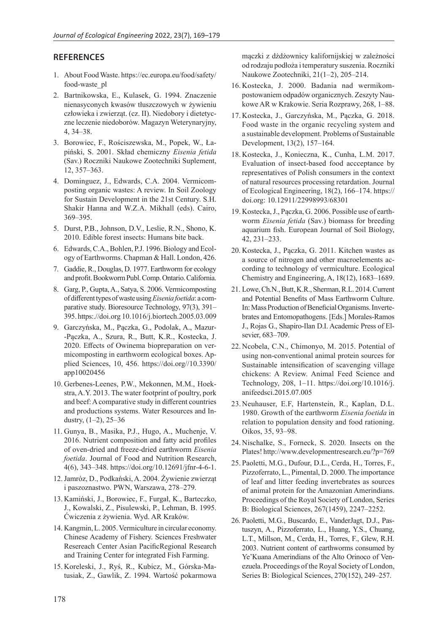#### **REFERENCES**

- 1. About Food Waste. https://ec.europa.eu/food/safety/ food-waste\_pl
- 2. Bartnikowska, E., Kulasek, G. 1994. Znaczenie nienasyconych kwasów tłuszczowych w żywieniu człowieka i zwierząt. (cz. II). Niedobory i dietetyczne leczenie niedoborów. Magazyn Weterynaryjny, 4, 34–38.
- 3. Borowiec, F., Rościszewska, M., Popek, W., Łapiński, S. 2001. Skład chemiczny *Eisenia fetida* (Sav.) Roczniki Naukowe Zootechniki Suplement, 12, 357–363.
- 4. Dominguez, J., Edwards, C.A. 2004. Vermicomposting organic wastes: A review. In Soil Zoology for Sustain Development in the 21st Century. S.H. Shakir Hanna and W.Z.A. Mikhall (eds). Cairo, 369–395.
- 5. Durst, P.B., Johnson, D.V., Leslie, R.N., Shono, K. 2010. Edible forest insects: Humans bite back.
- 6. Edwards, C.A., Bohlen, P.J. 1996. Biology and Ecology of Earthworms. Chapman & Hall. London, 426.
- 7. Gaddie, R., Douglas, D. 1977. Earthworm for ecology and profit. Bookworm Publ. Comp. Ontario. California.
- 8. Garg, P., Gupta, A., Satya, S. 2006. Vermicomposting of different types of waste using *Eisenia foetida*: a comparative study. Bioresource Technology, 97(3), 391– 395. https:.//doi.org 10.1016/j.biortech.2005.03.009
- 9. Garczyńska, M., Pączka, G., Podolak, A., Mazur- -Pączka, A., Szura, R., Butt, K.R., Kostecka, J. 2020. Effects of Owinema biopreparation on vermicomposting in earthworm ecological boxes. Applied Sciences, 10, 456. https://doi.org//10.3390/ app10020456
- 10. Gerbenes-Leenes, P.W., Mekonnen, M.M., Hoekstra, A.Y. 2013. The water footprint of poultry, pork and beef: A comparative study in different countries and productions systems. Water Resources and Industry,  $(1-2)$ ,  $25-36$
- 11. Gunya, B., Masika, P.J., Hugo, A., Muchenje, V. 2016. Nutrient composition and fatty acid profiles of oven-dried and freeze-dried earthworm *Eisenia foetida*. Journal of Food and Nutrition Research, 4(6), 343–348. https://doi.org/10.12691/jfnr-4-6-1.
- 12.Jamróz, D., Podkański, A. 2004. Żywienie zwierząt i paszoznastwo. PWN, Warszawa, 278–279.
- 13. Kamiński, J., Borowiec, F., Furgał, K., Barteczko, J., Kowalski, Z., Pisulewski, P., Lehman, B. 1995. Ćwiczenia z żywienia. Wyd. AR Kraków.
- 14. Kangmin, L. 2005. Vermiculture in circular economy. Chinese Academy of Fishery. Sciences Freshwater Resereach Center Asian PacificRegional Research and Training Center for integrated Fish Farming.
- 15. Koreleski, J., Ryś, R., Kubicz, M., Górska-Matusiak, Z., Gawlik, Z. 1994. Wartość pokarmowa

mączki z dżdżownicy kalifornijskiej w zależności od rodzaju podłoża i temperatury suszenia. Roczniki Naukowe Zootechniki, 21(1–2), 205–214.

- 16. Kostecka, J. 2000. Badania nad wermikompostowaniem odpadów organicznych. Zeszyty Naukowe AR w Krakowie. Seria Rozprawy, 268, 1–88.
- 17. Kostecka, J., Garczyńska, M., Pączka, G. 2018. Food waste in the organic recycling system and a sustainable development. Problems of Sustainable Development, 13(2), 157–164.
- 18. Kostecka, J., Konieczna, K., Cunha, L.M. 2017. Evaluation of insect-based food accceptance by representatives of Polish consumers in the context of natural resources processing retardation. Journal of Ecological Engineering, 18(2), 166–174. https:// doi.org: 10.12911/22998993/68301
- 19. Kostecka, J., Pączka, G. 2006. Possible use of earthworm *Eisenia fetida* (Sav.) biomass for breeding aquarium fish. European Journal of Soil Biology, 42, 231–233.
- 20. Kostecka, J., Pączka, G. 2011. Kitchen wastes as a source of nitrogen and other macroelements according to technology of vermiculture. Ecological Chemistry and Engineering, A, 18(12), 1683–1689.
- 21. Lowe, Ch.N., Butt, K.R., Sherman, R.L. 2014. Current and Potential Benefits of Mass Earthworm Culture. In: Mass Production of Beneficial Organisms. Invertebrates and Entomopathogens. [Eds.] Morales-Ramos J., Rojas G., Shapiro-Ilan D.I. Academic Press of Elsevier, 683–709.
- 22. Ncobela, C.N., Chimonyo, M. 2015. Potential of using non-conventional animal protein sources for Sustainable intensification of scavenging village chickens: A Review. Animal Feed Science and Technology, 208, 1–11. https://doi.org/10.1016/j. anifeedsci.2015.07.005
- 23. Neuhauser, E.F, Hartenstein, R., Kaplan, D.L. 1980. Growth of the earthworm *Eisenia foetida* in relation to population density and food rationing. Oikos, 35, 93–98.
- 24. Nischalke, S., Forneck, S. 2020*.* Insects on the Plates! http://www.developmentresearch.eu/?p=769
- 25. Paoletti, M.G., Dufour, D.L., Cerda, H., Torres, F., Pizzoferrato, L., Pimental, D. 2000. The importance of leaf and litter feeding invertebrates as sources of animal protein for the Amazonian Amerindians. Proceedings of the Royal Society of London, Series B: Biological Sciences, 267(1459), 2247–2252.
- 26. Paoletti, M.G., Buscardo, E., VanderJagt, D.J., Pastuszyn, A., Pizzoferrato, L., Huang, Y.S., Chuang, L.T., Millson, M., Cerda, H., Torres, F., Glew, R.H. 2003. Nutrient content of earthworms consumed by Ye'Kuana Amerindians of the Alto Orinoco of Venezuela. Proceedings of the Royal Society of London, Series B: Biological Sciences, 270(152), 249–257.